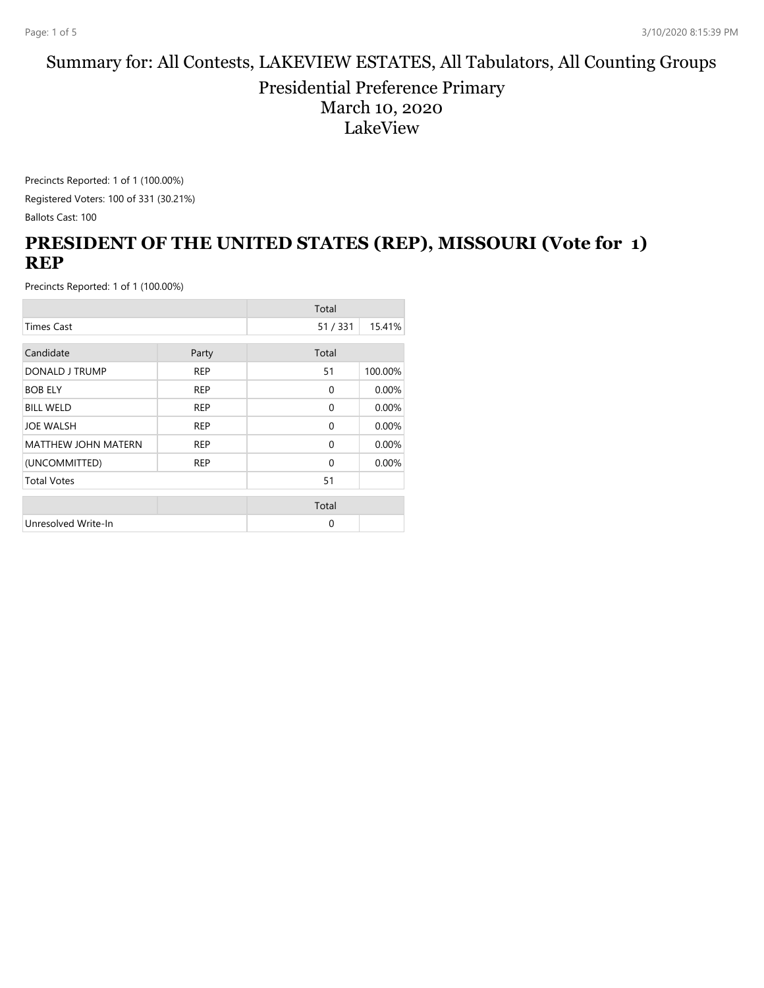#### Summary for: All Contests, LAKEVIEW ESTATES, All Tabulators, All Counting Groups

Presidential Preference Primary March 10, 2020 LakeView

Precincts Reported: 1 of 1 (100.00%) Registered Voters: 100 of 331 (30.21%)

Ballots Cast: 100

### **PRESIDENT OF THE UNITED STATES (REP), MISSOURI (Vote for 1) REP**

|                            |            | Total        |         |
|----------------------------|------------|--------------|---------|
| <b>Times Cast</b>          |            | 51/331       | 15.41%  |
| Candidate                  | Party      | Total        |         |
| DONALD J TRUMP             | <b>REP</b> | 51           | 100.00% |
| <b>BOB ELY</b>             | <b>REP</b> | $\mathbf{0}$ | 0.00%   |
| <b>BILL WELD</b>           | <b>REP</b> | $\mathbf{0}$ | 0.00%   |
| <b>JOE WALSH</b>           | <b>REP</b> | $\Omega$     | 0.00%   |
| <b>MATTHEW JOHN MATERN</b> | <b>REP</b> | $\Omega$     | 0.00%   |
| (UNCOMMITTED)              | <b>REP</b> | $\Omega$     | 0.00%   |
| <b>Total Votes</b>         |            | 51           |         |
|                            |            | Total        |         |
| Unresolved Write-In        |            | $\Omega$     |         |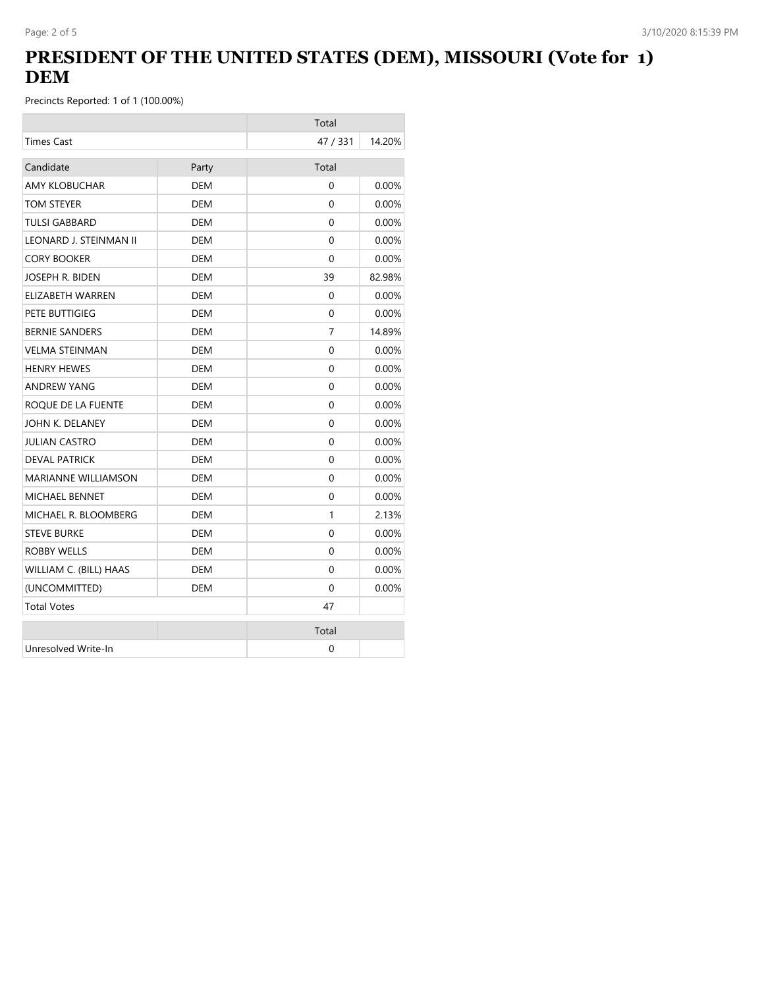# **PRESIDENT OF THE UNITED STATES (DEM), MISSOURI (Vote for 1) DEM**

|                            |            | Total    |          |
|----------------------------|------------|----------|----------|
| <b>Times Cast</b>          |            | 47 / 331 | 14.20%   |
| Candidate                  | Party      | Total    |          |
| <b>AMY KLOBUCHAR</b>       | <b>DEM</b> | $\Omega$ | 0.00%    |
| TOM STEYER                 | <b>DEM</b> | $\Omega$ | 0.00%    |
| <b>TULSI GABBARD</b>       | <b>DEM</b> | $\Omega$ | 0.00%    |
| LEONARD J. STEINMAN II     | DEM        | $\Omega$ | $0.00\%$ |
| <b>CORY BOOKER</b>         | <b>DEM</b> | $\Omega$ | 0.00%    |
| JOSEPH R. BIDEN            | <b>DEM</b> | 39       | 82.98%   |
| ELIZABETH WARREN           | DEM        | 0        | $0.00\%$ |
| PETE BUTTIGIEG             | <b>DEM</b> | $\Omega$ | $0.00\%$ |
| <b>BERNIE SANDERS</b>      | DEM        | 7        | 14.89%   |
| <b>VELMA STEINMAN</b>      | <b>DEM</b> | 0        | 0.00%    |
| <b>HENRY HEWES</b>         | DEM        | $\Omega$ | $0.00\%$ |
| <b>ANDREW YANG</b>         | DEM        | 0        | 0.00%    |
| ROQUE DE LA FUENTE         | DEM        | 0        | $0.00\%$ |
| JOHN K. DELANEY            | <b>DEM</b> | 0        | 0.00%    |
| <b>JULIAN CASTRO</b>       | <b>DEM</b> | $\Omega$ | $0.00\%$ |
| <b>DEVAL PATRICK</b>       | <b>DEM</b> | $\Omega$ | 0.00%    |
| <b>MARIANNE WILLIAMSON</b> | <b>DEM</b> | $\Omega$ | 0.00%    |
| <b>MICHAEL BENNET</b>      | DEM        | $\Omega$ | 0.00%    |
| MICHAEL R. BLOOMBERG       | DEM        | 1        | 2.13%    |
| <b>STEVE BURKE</b>         | DEM        | $\Omega$ | $0.00\%$ |
| <b>ROBBY WELLS</b>         | <b>DEM</b> | 0        | 0.00%    |
| WILLIAM C. (BILL) HAAS     | <b>DEM</b> | $\Omega$ | $0.00\%$ |
| (UNCOMMITTED)              | <b>DEM</b> | $\Omega$ | 0.00%    |
| <b>Total Votes</b>         |            | 47       |          |
|                            |            | Total    |          |
| Unresolved Write-In        |            | 0        |          |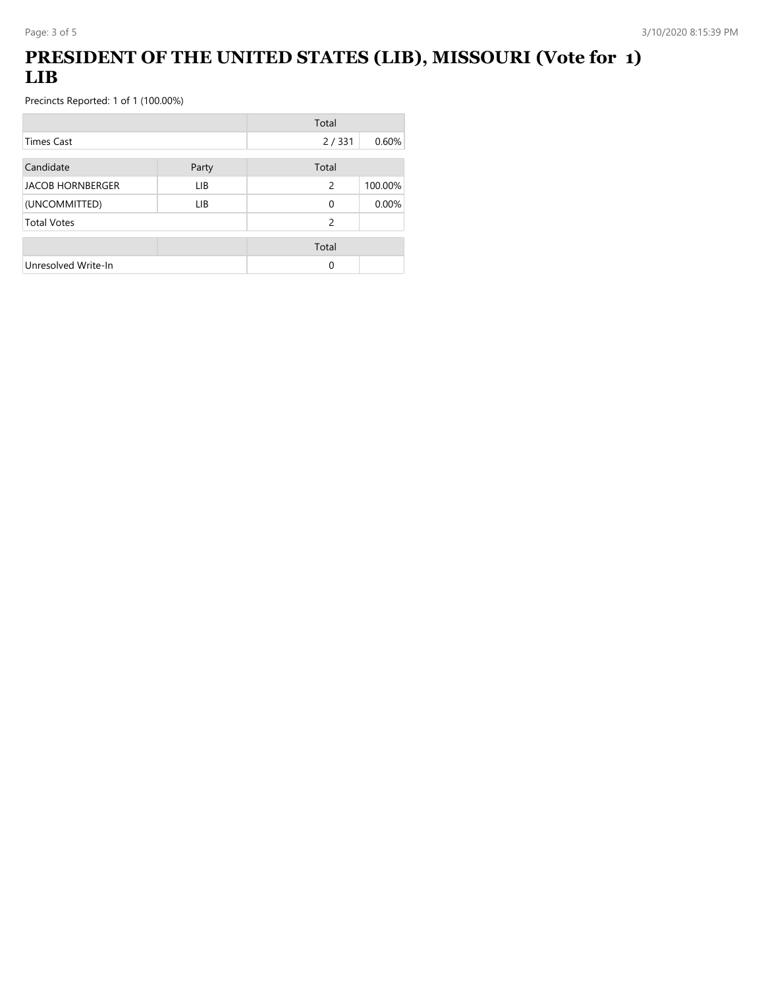# **PRESIDENT OF THE UNITED STATES (LIB), MISSOURI (Vote for 1) LIB**

|                         |       | Total         |         |
|-------------------------|-------|---------------|---------|
| Times Cast              |       | 2/331         | 0.60%   |
| Candidate               | Party | Total         |         |
| <b>JACOB HORNBERGER</b> | LIB   | 2             | 100.00% |
| (UNCOMMITTED)           | LIB   | $\Omega$      | 0.00%   |
| <b>Total Votes</b>      |       | $\mathcal{P}$ |         |
|                         |       | Total         |         |
| Unresolved Write-In     |       | 0             |         |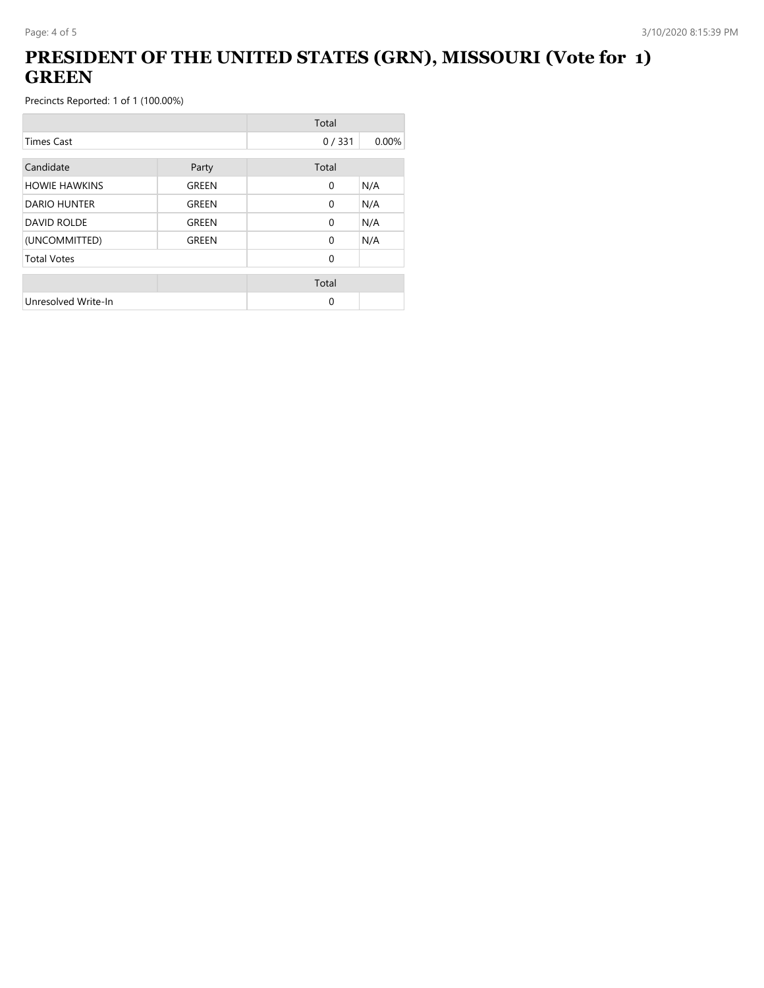# **PRESIDENT OF THE UNITED STATES (GRN), MISSOURI (Vote for 1) GREEN**

|                      |              | Total        |       |
|----------------------|--------------|--------------|-------|
| <b>Times Cast</b>    |              | 0/331        | 0.00% |
| Candidate            | Party        | Total        |       |
| <b>HOWIE HAWKINS</b> | GREEN        | $\mathbf{0}$ | N/A   |
| <b>DARIO HUNTER</b>  | <b>GREEN</b> | $\Omega$     | N/A   |
| <b>DAVID ROLDE</b>   | GREEN        | $\Omega$     | N/A   |
| (UNCOMMITTED)        | GREEN        | $\Omega$     | N/A   |
| <b>Total Votes</b>   |              | $\Omega$     |       |
|                      |              | Total        |       |
| Unresolved Write-In  |              | 0            |       |